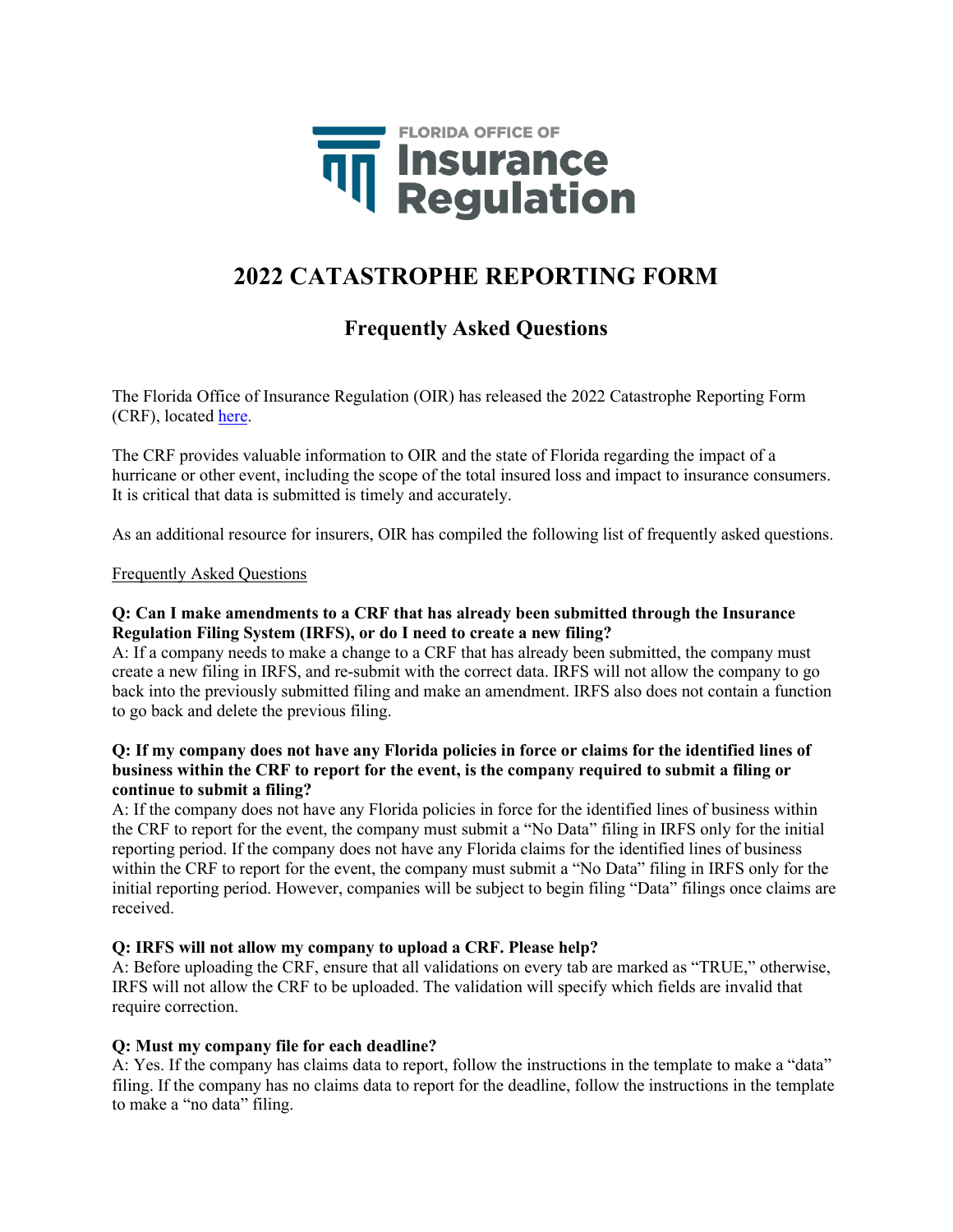

# **2022 CATASTROPHE REPORTING FORM**

# **Frequently Asked Questions**

The Florida Office of Insurance Regulation (OIR) has released the 2022 Catastrophe Reporting Form (CRF), located [here.](https://floir.com/tools-and-data/catastrophe-reporting)

The CRF provides valuable information to OIR and the state of Florida regarding the impact of a hurricane or other event, including the scope of the total insured loss and impact to insurance consumers. It is critical that data is submitted is timely and accurately.

As an additional resource for insurers, OIR has compiled the following list of frequently asked questions.

Frequently Asked Questions

# **Q: Can I make amendments to a CRF that has already been submitted through the Insurance Regulation Filing System (IRFS), or do I need to create a new filing?**

A: If a company needs to make a change to a CRF that has already been submitted, the company must create a new filing in IRFS, and re-submit with the correct data. IRFS will not allow the company to go back into the previously submitted filing and make an amendment. IRFS also does not contain a function to go back and delete the previous filing.

# **Q: If my company does not have any Florida policies in force or claims for the identified lines of business within the CRF to report for the event, is the company required to submit a filing or continue to submit a filing?**

A: If the company does not have any Florida policies in force for the identified lines of business within the CRF to report for the event, the company must submit a "No Data" filing in IRFS only for the initial reporting period. If the company does not have any Florida claims for the identified lines of business within the CRF to report for the event, the company must submit a "No Data" filing in IRFS only for the initial reporting period. However, companies will be subject to begin filing "Data" filings once claims are received.

### **Q: IRFS will not allow my company to upload a CRF. Please help?**

A: Before uploading the CRF, ensure that all validations on every tab are marked as "TRUE," otherwise, IRFS will not allow the CRF to be uploaded. The validation will specify which fields are invalid that require correction.

# **Q: Must my company file for each deadline?**

A: Yes. If the company has claims data to report, follow the instructions in the template to make a "data" filing. If the company has no claims data to report for the deadline, follow the instructions in the template to make a "no data" filing.